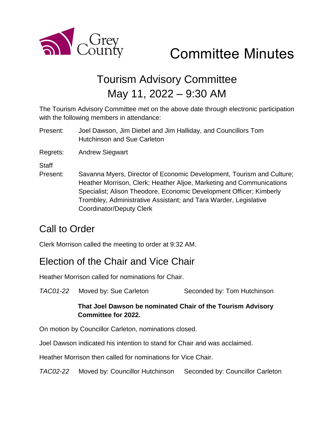

# Committee Minutes

## Tourism Advisory Committee May 11, 2022 – 9:30 AM

The Tourism Advisory Committee met on the above date through electronic participation with the following members in attendance:

Present: Joel Dawson, Jim Diebel and Jim Halliday, and Councillors Tom Hutchinson and Sue Carleton

Regrets: Andrew Siegwart

**Staff** 

Present: Savanna Myers, Director of Economic Development, Tourism and Culture; Heather Morrison, Clerk; Heather Aljoe, Marketing and Communications Specialist; Alison Theodore, Economic Development Officer; Kimberly Trombley, Administrative Assistant; and Tara Warder, Legislative Coordinator/Deputy Clerk

## Call to Order

Clerk Morrison called the meeting to order at 9:32 AM.

## Election of the Chair and Vice Chair

Heather Morrison called for nominations for Chair.

*TAC01-22* Moved by: Sue Carleton Seconded by: Tom Hutchinson

#### **That Joel Dawson be nominated Chair of the Tourism Advisory Committee for 2022.**

On motion by Councillor Carleton, nominations closed.

Joel Dawson indicated his intention to stand for Chair and was acclaimed.

Heather Morrison then called for nominations for Vice Chair.

*TAC02-22* Moved by: Councillor Hutchinson Seconded by: Councillor Carleton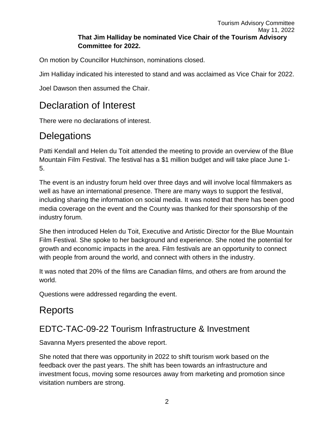On motion by Councillor Hutchinson, nominations closed.

Jim Halliday indicated his interested to stand and was acclaimed as Vice Chair for 2022.

Joel Dawson then assumed the Chair.

## Declaration of Interest

There were no declarations of interest.

#### **Delegations**

Patti Kendall and Helen du Toit attended the meeting to provide an overview of the Blue Mountain Film Festival. The festival has a \$1 million budget and will take place June 1- 5.

The event is an industry forum held over three days and will involve local filmmakers as well as have an international presence. There are many ways to support the festival, including sharing the information on social media. It was noted that there has been good media coverage on the event and the County was thanked for their sponsorship of the industry forum.

She then introduced Helen du Toit, Executive and Artistic Director for the Blue Mountain Film Festival. She spoke to her background and experience. She noted the potential for growth and economic impacts in the area. Film festivals are an opportunity to connect with people from around the world, and connect with others in the industry.

It was noted that 20% of the films are Canadian films, and others are from around the world.

Questions were addressed regarding the event.

## Reports

#### EDTC-TAC-09-22 Tourism Infrastructure & Investment

Savanna Myers presented the above report.

She noted that there was opportunity in 2022 to shift tourism work based on the feedback over the past years. The shift has been towards an infrastructure and investment focus, moving some resources away from marketing and promotion since visitation numbers are strong.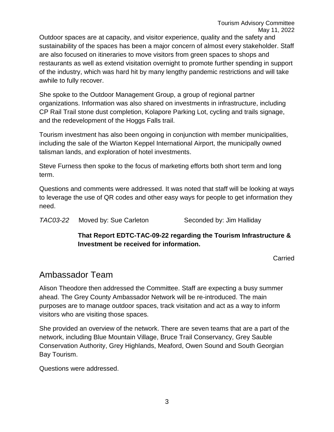Outdoor spaces are at capacity, and visitor experience, quality and the safety and sustainability of the spaces has been a major concern of almost every stakeholder. Staff are also focused on itineraries to move visitors from green spaces to shops and restaurants as well as extend visitation overnight to promote further spending in support of the industry, which was hard hit by many lengthy pandemic restrictions and will take awhile to fully recover.

She spoke to the Outdoor Management Group, a group of regional partner organizations. Information was also shared on investments in infrastructure, including CP Rail Trail stone dust completion, Kolapore Parking Lot, cycling and trails signage, and the redevelopment of the Hoggs Falls trail.

Tourism investment has also been ongoing in conjunction with member municipalities, including the sale of the Wiarton Keppel International Airport, the municipally owned talisman lands, and exploration of hotel investments.

Steve Furness then spoke to the focus of marketing efforts both short term and long term.

Questions and comments were addressed. It was noted that staff will be looking at ways to leverage the use of QR codes and other easy ways for people to get information they need.

*TAC03-22* Moved by: Sue Carleton Seconded by: Jim Halliday

#### **That Report EDTC-TAC-09-22 regarding the Tourism Infrastructure & Investment be received for information.**

Carried

#### Ambassador Team

Alison Theodore then addressed the Committee. Staff are expecting a busy summer ahead. The Grey County Ambassador Network will be re-introduced. The main purposes are to manage outdoor spaces, track visitation and act as a way to inform visitors who are visiting those spaces.

She provided an overview of the network. There are seven teams that are a part of the network, including Blue Mountain Village, Bruce Trail Conservancy, Grey Sauble Conservation Authority, Grey Highlands, Meaford, Owen Sound and South Georgian Bay Tourism.

Questions were addressed.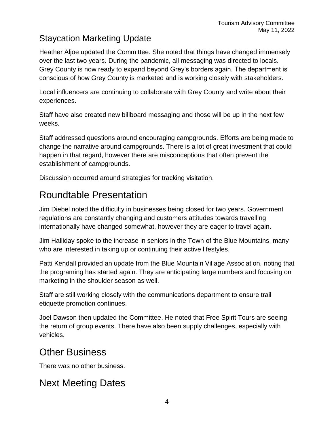#### Staycation Marketing Update

Heather Aljoe updated the Committee. She noted that things have changed immensely over the last two years. During the pandemic, all messaging was directed to locals. Grey County is now ready to expand beyond Grey's borders again. The department is conscious of how Grey County is marketed and is working closely with stakeholders.

Local influencers are continuing to collaborate with Grey County and write about their experiences.

Staff have also created new billboard messaging and those will be up in the next few weeks.

Staff addressed questions around encouraging campgrounds. Efforts are being made to change the narrative around campgrounds. There is a lot of great investment that could happen in that regard, however there are misconceptions that often prevent the establishment of campgrounds.

Discussion occurred around strategies for tracking visitation.

## Roundtable Presentation

Jim Diebel noted the difficulty in businesses being closed for two years. Government regulations are constantly changing and customers attitudes towards travelling internationally have changed somewhat, however they are eager to travel again.

Jim Halliday spoke to the increase in seniors in the Town of the Blue Mountains, many who are interested in taking up or continuing their active lifestyles.

Patti Kendall provided an update from the Blue Mountain Village Association, noting that the programing has started again. They are anticipating large numbers and focusing on marketing in the shoulder season as well.

Staff are still working closely with the communications department to ensure trail etiquette promotion continues.

Joel Dawson then updated the Committee. He noted that Free Spirit Tours are seeing the return of group events. There have also been supply challenges, especially with vehicles.

## Other Business

There was no other business.

## Next Meeting Dates